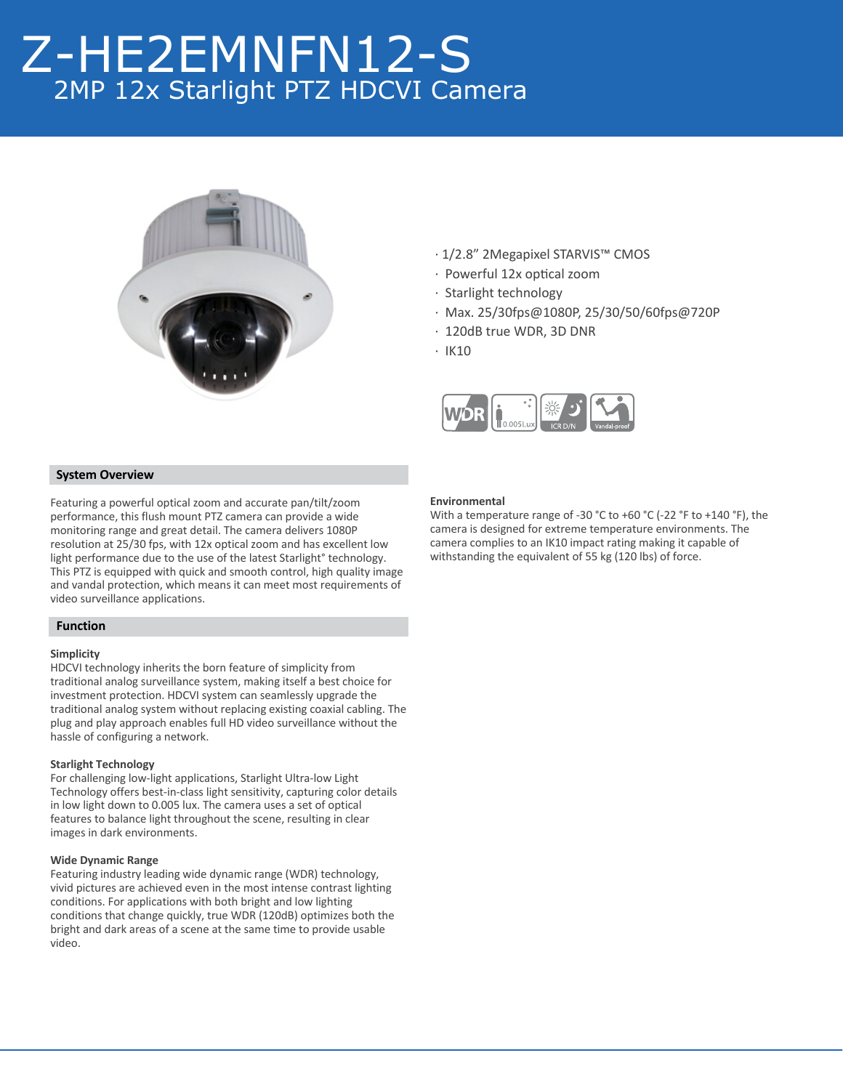# Z-HE2EMNFN12-S 2MP 12x Starlight PTZ HDCVI Camera



- · 1/2.8" 2Megapixel STARVIS™ CMOS
- · Powerful 12x optical zoom
- · Starlight technology
- · Max. 25/30fps@1080P, 25/30/50/60fps@720P
- · 120dB true WDR, 3D DNR
- · IK10



## **System Overview**

Featuring a powerful optical zoom and accurate pan/tilt/zoom performance, this flush mount PTZ camera can provide a wide monitoring range and great detail. The camera delivers 1080P resolution at 25/30 fps, with 12x optical zoom and has excellent low light performance due to the use of the latest Starlight° technology. This PTZ is equipped with quick and smooth control, high quality image and vandal protection, which means it can meet most requirements of video surveillance applications.

# **Function**

### **Simplicity**

HDCVI technology inherits the born feature of simplicity from traditional analog surveillance system, making itself a best choice for investment protection. HDCVI system can seamlessly upgrade the traditional analog system without replacing existing coaxial cabling. The plug and play approach enables full HD video surveillance without the hassle of configuring a network.

### **Starlight Technology**

For challenging low-light applications, Starlight Ultra-low Light Technology offers best-in-class light sensitivity, capturing color details in low light down to 0.005 lux. The camera uses a set of optical features to balance light throughout the scene, resulting in clear images in dark environments.

#### **Wide Dynamic Range**

Featuring industry leading wide dynamic range (WDR) technology, vivid pictures are achieved even in the most intense contrast lighting conditions. For applications with both bright and low lighting conditions that change quickly, true WDR (120dB) optimizes both the bright and dark areas of a scene at the same time to provide usable video.

#### **Environmental**

With a temperature range of -30 °C to +60 °C (-22 °F to +140 °F), the camera is designed for extreme temperature environments. The camera complies to an IK10 impact rating making it capable of withstanding the equivalent of 55 kg (120 lbs) of force.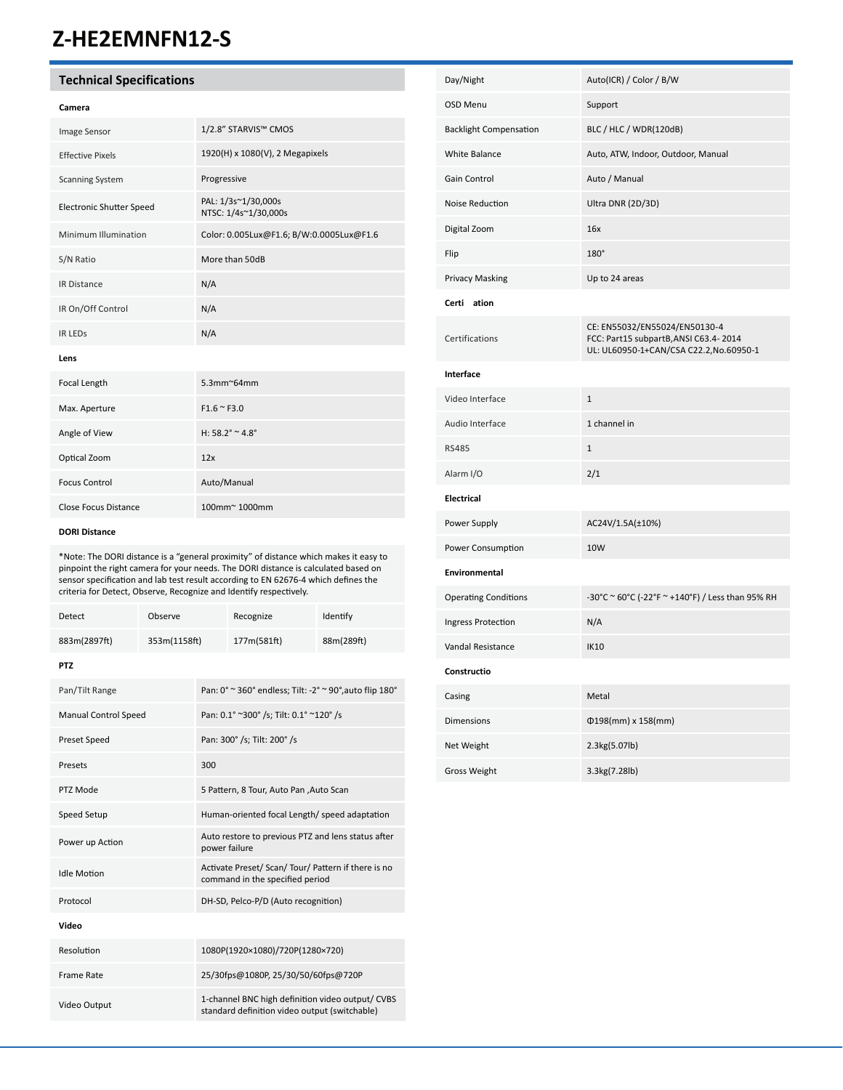# **Z-HE2EMNFN12-S**

# **Technical Specifications**

| Image Sensor                    | 1/2.8" STARVIS™ CMOS                        |
|---------------------------------|---------------------------------------------|
| <b>Effective Pixels</b>         | 1920(H) x 1080(V), 2 Megapixels             |
| <b>Scanning System</b>          | Progressive                                 |
| <b>Electronic Shutter Speed</b> | PAL: 1/3s~1/30,000s<br>NTSC: 1/4s~1/30,000s |
| Minimum Illumination            | Color: 0.005Lux@F1.6; B/W:0.0005Lux@F1.6    |
| S/N Ratio                       | More than 50dB                              |
| <b>IR Distance</b>              | N/A                                         |
| IR On/Off Control               | N/A                                         |
| <b>IR LEDS</b>                  | N/A                                         |
| Lens                            |                                             |
|                                 |                                             |

| Focal Length         | $5.3$ mm $\approx$ 64mm |
|----------------------|-------------------------|
| Max. Aperture        | $F1.6 \approx F3.0$     |
| Angle of View        | H: $58.2^\circ$ ~ 4.8°  |
| Optical Zoom         | 12x                     |
| <b>Focus Control</b> | Auto/Manual             |
| Close Focus Distance | 100mm~1000mm            |

### **DORI Distance**

\*Note: The DORI distance is a "general proximity" of distance which makes it easy to pinpoint the right camera for your needs. The DORI distance is calculated based on sensor specification and lab test result according to EN 62676-4 which defines the criteria for Detect, Observe, Recognize and Identify respectively.

| Detect                      | Observe      |                                                                                                   | Recognize                               | Identify   |  |  |
|-----------------------------|--------------|---------------------------------------------------------------------------------------------------|-----------------------------------------|------------|--|--|
| 883m(2897ft)                | 353m(1158ft) |                                                                                                   | 177m(581ft)                             | 88m(289ft) |  |  |
| <b>PTZ</b>                  |              |                                                                                                   |                                         |            |  |  |
| Pan/Tilt Range              |              | Pan: 0° ~ 360° endless; Tilt: -2° ~ 90°, auto flip 180°                                           |                                         |            |  |  |
| <b>Manual Control Speed</b> |              | Pan: 0.1° ~300° /s; Tilt: 0.1° ~120° /s                                                           |                                         |            |  |  |
| Preset Speed                |              | Pan: 300° /s; Tilt: 200° /s                                                                       |                                         |            |  |  |
| Presets                     |              | 300                                                                                               |                                         |            |  |  |
| PTZ Mode                    |              |                                                                                                   | 5 Pattern, 8 Tour, Auto Pan , Auto Scan |            |  |  |
| Speed Setup                 |              | Human-oriented focal Length/ speed adaptation                                                     |                                         |            |  |  |
| Power up Action             |              | Auto restore to previous PTZ and lens status after<br>power failure                               |                                         |            |  |  |
| <b>Idle Motion</b>          |              | Activate Preset/ Scan/ Tour/ Pattern if there is no<br>command in the specified period            |                                         |            |  |  |
| Protocol                    |              | DH-SD, Pelco-P/D (Auto recognition)                                                               |                                         |            |  |  |
| Video                       |              |                                                                                                   |                                         |            |  |  |
| Resolution                  |              | 1080P(1920×1080)/720P(1280×720)                                                                   |                                         |            |  |  |
| <b>Frame Rate</b>           |              | 25/30fps@1080P, 25/30/50/60fps@720P                                                               |                                         |            |  |  |
| Video Output                |              | 1-channel BNC high definition video output/ CVBS<br>standard definition video output (switchable) |                                         |            |  |  |

| Day/Night                     | Auto(ICR) / Color / B/W                                                                                           |
|-------------------------------|-------------------------------------------------------------------------------------------------------------------|
| <b>OSD Menu</b>               | Support                                                                                                           |
| <b>Backlight Compensation</b> | BLC / HLC / WDR(120dB)                                                                                            |
| White Balance                 | Auto, ATW, Indoor, Outdoor, Manual                                                                                |
| Gain Control                  | Auto / Manual                                                                                                     |
| Noise Reduction               | Ultra DNR (2D/3D)                                                                                                 |
| Digital Zoom                  | 16x                                                                                                               |
| Flip                          | 180°                                                                                                              |
| Privacy Masking               | Up to 24 areas                                                                                                    |
| Certi ation                   |                                                                                                                   |
| Certifications                | CE: EN55032/EN55024/EN50130-4<br>FCC: Part15 subpartB, ANSI C63.4-2014<br>UL: UL60950-1+CAN/CSA C22.2, No.60950-1 |
| Interface                     |                                                                                                                   |
| Video Interface               | $\mathbf{1}$                                                                                                      |
| Audio Interface               | 1 channel in                                                                                                      |
| <b>RS485</b>                  | $1\,$                                                                                                             |
| Alarm I/O                     | 2/1                                                                                                               |
| <b>Electrical</b>             |                                                                                                                   |
| Power Supply                  | AC24V/1.5A(±10%)                                                                                                  |
| Power Consumption             | 10 <sub>W</sub>                                                                                                   |
| Environmental                 |                                                                                                                   |
| <b>Operating Conditions</b>   | -30°C ~ 60°C (-22°F ~ +140°F) / Less than 95% RH                                                                  |
| Ingress Protection            | N/A                                                                                                               |
| Vandal Resistance             | <b>IK10</b>                                                                                                       |
| Constructio                   |                                                                                                                   |
| Casing                        | Metal                                                                                                             |
| <b>Dimensions</b>             | $\Phi$ 198(mm) x 158(mm)                                                                                          |
| Net Weight                    | 2.3kg(5.07lb)                                                                                                     |
| <b>Gross Weight</b>           | 3.3kg(7.28lb)                                                                                                     |